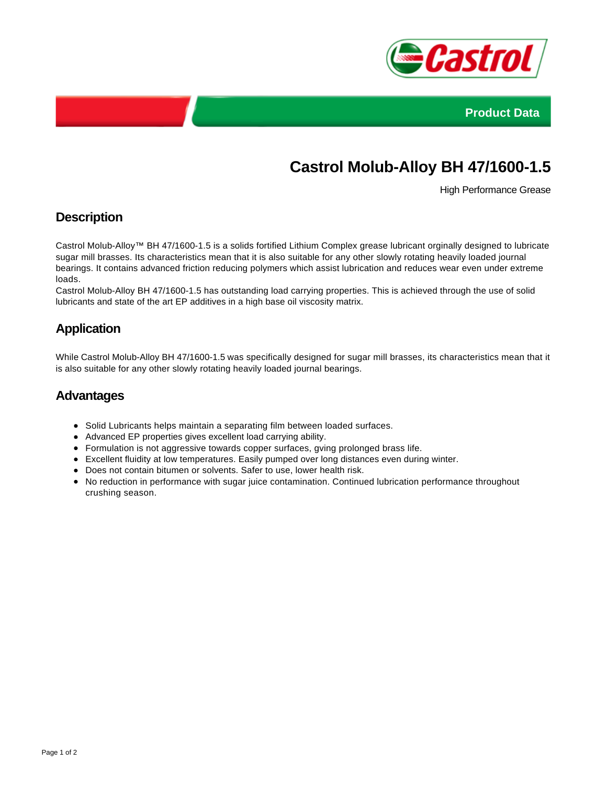



# **Castrol Molub-Alloy BH 47/1600-1.5**

High Performance Grease

## **Description**

Castrol Molub-Alloy™ BH 47/1600-1.5 is a solids fortified Lithium Complex grease lubricant orginally designed to lubricate sugar mill brasses. Its characteristics mean that it is also suitable for any other slowly rotating heavily loaded journal bearings. It contains advanced friction reducing polymers which assist lubrication and reduces wear even under extreme loads.

Castrol Molub-Alloy BH 47/1600-1.5 has outstanding load carrying properties. This is achieved through the use of solid lubricants and state of the art EP additives in a high base oil viscosity matrix.

### **Application**

While Castrol Molub-Alloy BH 47/1600-1.5 was specifically designed for sugar mill brasses, its characteristics mean that it is also suitable for any other slowly rotating heavily loaded journal bearings.

#### **Advantages**

- Solid Lubricants helps maintain a separating film between loaded surfaces.
- Advanced EP properties gives excellent load carrying ability.
- Formulation is not aggressive towards copper surfaces, gving prolonged brass life.
- Excellent fluidity at low temperatures. Easily pumped over long distances even during winter.
- Does not contain bitumen or solvents. Safer to use, lower health risk.
- No reduction in performance with sugar juice contamination. Continued lubrication performance throughout crushing season.